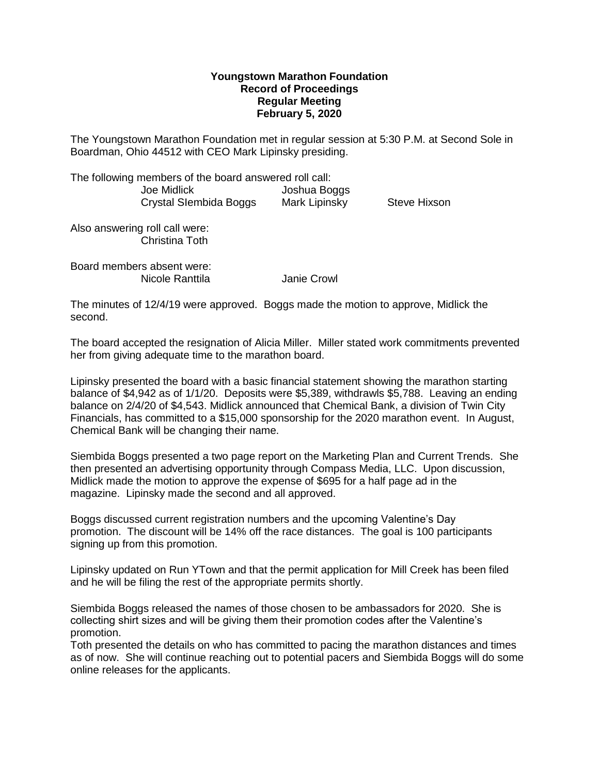## **Youngstown Marathon Foundation Record of Proceedings Regular Meeting February 5, 2020**

The Youngstown Marathon Foundation met in regular session at 5:30 P.M. at Second Sole in Boardman, Ohio 44512 with CEO Mark Lipinsky presiding.

The following members of the board answered roll call: Joe Midlick Joshua Boggs Crystal SIembida Boggs Mark Lipinsky Steve Hixson

Also answering roll call were: Christina Toth

Board members absent were: Nicole Ranttila Janie Crowl

The minutes of 12/4/19 were approved. Boggs made the motion to approve, Midlick the second.

The board accepted the resignation of Alicia Miller. Miller stated work commitments prevented her from giving adequate time to the marathon board.

Lipinsky presented the board with a basic financial statement showing the marathon starting balance of \$4,942 as of 1/1/20. Deposits were \$5,389, withdrawls \$5,788. Leaving an ending balance on 2/4/20 of \$4,543. Midlick announced that Chemical Bank, a division of Twin City Financials, has committed to a \$15,000 sponsorship for the 2020 marathon event. In August, Chemical Bank will be changing their name.

Siembida Boggs presented a two page report on the Marketing Plan and Current Trends. She then presented an advertising opportunity through Compass Media, LLC. Upon discussion, Midlick made the motion to approve the expense of \$695 for a half page ad in the magazine. Lipinsky made the second and all approved.

Boggs discussed current registration numbers and the upcoming Valentine's Day promotion. The discount will be 14% off the race distances. The goal is 100 participants signing up from this promotion.

Lipinsky updated on Run YTown and that the permit application for Mill Creek has been filed and he will be filing the rest of the appropriate permits shortly.

Siembida Boggs released the names of those chosen to be ambassadors for 2020. She is collecting shirt sizes and will be giving them their promotion codes after the Valentine's promotion.

Toth presented the details on who has committed to pacing the marathon distances and times as of now. She will continue reaching out to potential pacers and Siembida Boggs will do some online releases for the applicants.